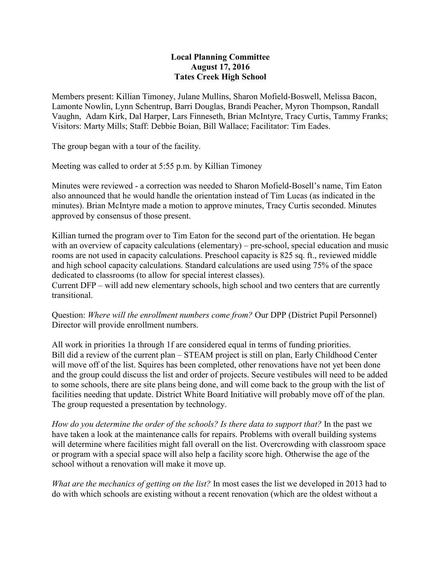## **Local Planning Committee August 17, 2016 Tates Creek High School**

Members present: Killian Timoney, Julane Mullins, Sharon Mofield-Boswell, Melissa Bacon, Lamonte Nowlin, Lynn Schentrup, Barri Douglas, Brandi Peacher, Myron Thompson, Randall Vaughn, Adam Kirk, Dal Harper, Lars Finneseth, Brian McIntyre, Tracy Curtis, Tammy Franks; Visitors: Marty Mills; Staff: Debbie Boian, Bill Wallace; Facilitator: Tim Eades.

The group began with a tour of the facility.

Meeting was called to order at 5:55 p.m. by Killian Timoney

Minutes were reviewed - a correction was needed to Sharon Mofield-Bosell's name, Tim Eaton also announced that he would handle the orientation instead of Tim Lucas (as indicated in the minutes). Brian McIntyre made a motion to approve minutes, Tracy Curtis seconded. Minutes approved by consensus of those present.

Killian turned the program over to Tim Eaton for the second part of the orientation. He began with an overview of capacity calculations (elementary) – pre-school, special education and music rooms are not used in capacity calculations. Preschool capacity is 825 sq. ft., reviewed middle and high school capacity calculations. Standard calculations are used using 75% of the space dedicated to classrooms (to allow for special interest classes).

Current DFP – will add new elementary schools, high school and two centers that are currently transitional.

Question: *Where will the enrollment numbers come from?* Our DPP (District Pupil Personnel) Director will provide enrollment numbers.

All work in priorities 1a through 1f are considered equal in terms of funding priorities. Bill did a review of the current plan – STEAM project is still on plan, Early Childhood Center will move off of the list. Squires has been completed, other renovations have not yet been done and the group could discuss the list and order of projects. Secure vestibules will need to be added to some schools, there are site plans being done, and will come back to the group with the list of facilities needing that update. District White Board Initiative will probably move off of the plan. The group requested a presentation by technology.

*How do you determine the order of the schools? Is there data to support that?* In the past we have taken a look at the maintenance calls for repairs. Problems with overall building systems will determine where facilities might fall overall on the list. Overcrowding with classroom space or program with a special space will also help a facility score high. Otherwise the age of the school without a renovation will make it move up.

*What are the mechanics of getting on the list?* In most cases the list we developed in 2013 had to do with which schools are existing without a recent renovation (which are the oldest without a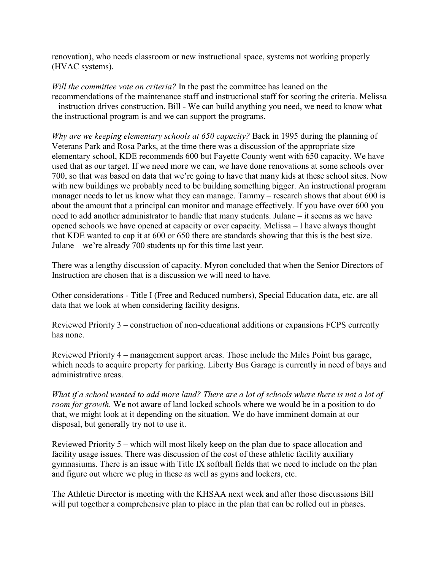renovation), who needs classroom or new instructional space, systems not working properly (HVAC systems).

*Will the committee vote on criteria?* In the past the committee has leaned on the recommendations of the maintenance staff and instructional staff for scoring the criteria. Melissa – instruction drives construction. Bill - We can build anything you need, we need to know what the instructional program is and we can support the programs.

*Why are we keeping elementary schools at 650 capacity?* Back in 1995 during the planning of Veterans Park and Rosa Parks, at the time there was a discussion of the appropriate size elementary school, KDE recommends 600 but Fayette County went with 650 capacity. We have used that as our target. If we need more we can, we have done renovations at some schools over 700, so that was based on data that we're going to have that many kids at these school sites. Now with new buildings we probably need to be building something bigger. An instructional program manager needs to let us know what they can manage. Tammy – research shows that about 600 is about the amount that a principal can monitor and manage effectively. If you have over 600 you need to add another administrator to handle that many students. Julane – it seems as we have opened schools we have opened at capacity or over capacity. Melissa – I have always thought that KDE wanted to cap it at 600 or 650 there are standards showing that this is the best size. Julane – we're already 700 students up for this time last year.

There was a lengthy discussion of capacity. Myron concluded that when the Senior Directors of Instruction are chosen that is a discussion we will need to have.

Other considerations - Title I (Free and Reduced numbers), Special Education data, etc. are all data that we look at when considering facility designs.

Reviewed Priority 3 – construction of non-educational additions or expansions FCPS currently has none.

Reviewed Priority 4 – management support areas. Those include the Miles Point bus garage, which needs to acquire property for parking. Liberty Bus Garage is currently in need of bays and administrative areas.

*What if a school wanted to add more land? There are a lot of schools where there is not a lot of room for growth.* We not aware of land locked schools where we would be in a position to do that, we might look at it depending on the situation. We do have imminent domain at our disposal, but generally try not to use it.

Reviewed Priority 5 – which will most likely keep on the plan due to space allocation and facility usage issues. There was discussion of the cost of these athletic facility auxiliary gymnasiums. There is an issue with Title IX softball fields that we need to include on the plan and figure out where we plug in these as well as gyms and lockers, etc.

The Athletic Director is meeting with the KHSAA next week and after those discussions Bill will put together a comprehensive plan to place in the plan that can be rolled out in phases.